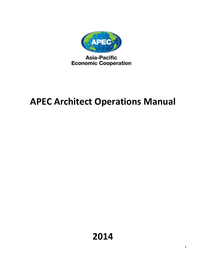

**Asia-Pacific Economic Cooperation** 

# APEC Architect Operations Manual

2014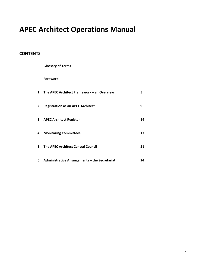## APEC Architect Operations Manual

## **CONTENTS**

| <b>Glossary of Terms</b>                         |    |
|--------------------------------------------------|----|
| <b>Foreword</b>                                  |    |
| 1. The APEC Architect Framework – an Overview    | 5  |
| 2. Registration as an APEC Architect             | 9  |
| 3. APEC Architect Register                       | 14 |
| 4. Monitoring Committees                         | 17 |
| 5. The APEC Architect Central Council            | 21 |
| 6. Administrative Arrangements - the Secretariat | 24 |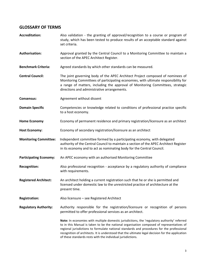## GLOSSARY OF TERMS

| <b>Accreditation:</b>         | Also validation - the granting of approval/recognition to a course or program of<br>study, which has been tested to produce results of an acceptable standard against<br>set criteria.                                                                                                                                                                                                                                                                     |  |  |  |  |  |  |  |
|-------------------------------|------------------------------------------------------------------------------------------------------------------------------------------------------------------------------------------------------------------------------------------------------------------------------------------------------------------------------------------------------------------------------------------------------------------------------------------------------------|--|--|--|--|--|--|--|
| <b>Authorisation:</b>         | Approval granted by the Central Council to a Monitoring Committee to maintain a<br>section of the APEC Architect Register.                                                                                                                                                                                                                                                                                                                                 |  |  |  |  |  |  |  |
| <b>Benchmark Criteria:</b>    | Agreed standards by which other standards can be measured.                                                                                                                                                                                                                                                                                                                                                                                                 |  |  |  |  |  |  |  |
| <b>Central Council:</b>       | The joint governing body of the APEC Architect Project composed of nominees of<br>Monitoring Committees of participating economies, with ultimate responsibility for<br>a range of matters, including the approval of Monitoring Committees, strategic<br>directions and administrative arrangements.                                                                                                                                                      |  |  |  |  |  |  |  |
| <b>Consensus:</b>             | Agreement without dissent                                                                                                                                                                                                                                                                                                                                                                                                                                  |  |  |  |  |  |  |  |
| <b>Domain Specific</b>        | Competencies or knowledge related to conditions of professional practice specific<br>to a host economy.                                                                                                                                                                                                                                                                                                                                                    |  |  |  |  |  |  |  |
| <b>Home Economy</b>           | Economy of permanent residence and primary registration/licensure as an architect                                                                                                                                                                                                                                                                                                                                                                          |  |  |  |  |  |  |  |
| <b>Host Economy:</b>          | Economy of secondary registration/licensure as an architect                                                                                                                                                                                                                                                                                                                                                                                                |  |  |  |  |  |  |  |
| <b>Monitoring Committee:</b>  | Independent committee formed by a participating economy, with delegated<br>authority of the Central Council to maintain a section of the APEC Architect Register<br>in its economy and to act as nominating body for the Central Council.                                                                                                                                                                                                                  |  |  |  |  |  |  |  |
| <b>Participating Economy:</b> | An APEC economy with an authorised Monitoring Committee                                                                                                                                                                                                                                                                                                                                                                                                    |  |  |  |  |  |  |  |
| <b>Recognition:</b>           | Also professional recognition - acceptance by a regulatory authority of compliance<br>with requirements.                                                                                                                                                                                                                                                                                                                                                   |  |  |  |  |  |  |  |
| <b>Registered Architect:</b>  | An architect holding a current registration such that he or she is permitted and<br>licensed under domestic law to the unrestricted practice of architecture at the<br>present time.                                                                                                                                                                                                                                                                       |  |  |  |  |  |  |  |
| <b>Registration:</b>          | Also licensure - see Registered Architect                                                                                                                                                                                                                                                                                                                                                                                                                  |  |  |  |  |  |  |  |
| <b>Regulatory Authority:</b>  | Authority responsible for the registration/licensure or recognition of persons<br>permitted to offer professional services as an architect.                                                                                                                                                                                                                                                                                                                |  |  |  |  |  |  |  |
|                               | Note: In economies with multiple domestic jurisdictions, the 'regulatory authority' referred<br>to in this Manual is taken to be the national organisation composed of representatives of<br>regional jurisdictions to formulate national standards and procedures for the professional<br>recognition of architects. It is understood that the ultimate legal decision for the application<br>of these standards rests with the individual jurisdictions. |  |  |  |  |  |  |  |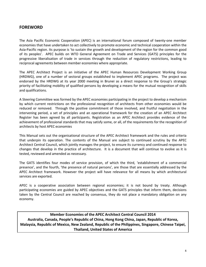## FOREWORD

The Asia Pacific Economic Cooperation (APEC) is an international forum composed of twenty-one member economies that have undertaken to act collectively to promote economic and technical cooperation within the Asia-Pacific region. Its purpose is 'to sustain the growth and development of the region for the common good of its peoples'. APEC builds on WTO General Agreement on Trade and Services (GATS) principles for the progressive liberalisation of trade in services through the reduction of regulatory restrictions, leading to reciprocal agreements between member economies where appropriate.

The APEC Architect Project is an initiative of the APEC Human Resources Development Working Group (HRDWG), one of a number of sectoral groups established to implement APEC programs. The project was endorsed by the HRDWG at its year 2000 meeting in Brunei as a direct response to the Group's strategic priority of facilitating mobility of qualified persons by developing a means for the mutual recognition of skills and qualifications.

A Steering Committee was formed by the APEC economies participating in the project to develop a mechanism by which current restrictions on the professional recognition of architects from other economies would be reduced or removed. Through the positive commitment of those involved, and fruitful negotiation in the intervening period, a set of principles and an operational framework for the creation of an APEC Architect Register has been agreed by all participants. Registration as an APEC Architect provides evidence of the achievement of professional standards that may satisfy some, or all, of the requirements for the recognition of architects by host APEC economies

This Manual sets out the organisational structure of the APEC Architect framework and the rules and criteria that underpin its operation. The contents of the Manual are subject to continued scrutiny by the APEC Architect Central Council, which jointly manages the project, to ensure its currency and continued response to changes that develop in the practice of architecture. It is a document that will continue to evolve as it is tested, reviewed and amended as necessary.

The GATS identifies four modes of service provision, of which the third, 'establishment of a commercial presence', and the fourth, 'the presence of natural persons', are those that are essentially addressed by the APEC Architect framework. However the project will have relevance for all means by which architectural services are exported.

APEC is a cooperative association between regional economies; it is not bound by treaty. Although participating economies are guided by APEC objectives and the GATS principles that inform them, decisions taken by the Central Council are reached by consensus, they do not place a mandatory obligation on any economy.

Member Economies of the APEC Architect Central Council 2014 Australia, Canada, People's Republic of China, Hong Kong China, Japan, Republic of Korea, Malaysia, Republic of Mexico, New Zealand, Republic of the Philippines, Singapore, Chinese Taipei, Thailand, United States of America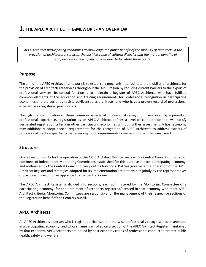## 1. THE APEC ARCHITECT FRAMEWORK - AN OVERVIEW

APEC Architect participating economies acknowledge the public benefit of the mobility of architects in the provision of architectural services, the positive value of cultural diversity and the mutual benefits of cooperation in developing a framework to facilitate these goals.

#### Purpose

The aim of the APEC Architect framework is to establish a mechanism to facilitate the mobility of architects for the provision of architectural services throughout the APEC region by reducing current barriers to the export of professional services. Its central function is to maintain a Register of APEC Architects who have fulfilled common elements of the education and training requirements for professional recognition in participating economies and are currently registered/licensed as architects, and who have a proven record of professional experience as registered practitioners.

Through the identification of these common aspects of professional recognition, reinforced by a period of professional experience, registration as an APEC Architect defines a level of competence that will satisfy designated registration criteria in other participating economies without further assessment. A host economy may additionally adopt special requirements for the recognition of APEC Architects to address aspects of professional practice specific to that economy; such requirements however must be fully transparent.

#### Structure

Overall responsibility for the operation of the APEC Architect Register rests with a Central Council composed of nominees of independent Monitoring Committees established for this purpose in each participating economy, and authorised by the Central Council to carry out its functions. Policies governing the operation of the APEC Architect Register and strategies adopted for its implementation are determined jointly by the representatives of participating economies appointed to the Central Council.

The APEC Architect Register is divided into sections, each administered by the Monitoring Committee of a participating economy, for the enrolment of architects registered/licensed in that economy who meet APEC Architect criteria. Monitoring Committees are responsible for the management of their respective sections of the Register on behalf of the Central Council.

## APEC Architects

An APEC Architect is a person who is registered, licensed or otherwise professionally recognised as an architect in a participating economy, and whose name is enrolled on a section of the APEC Architect Register maintained by that economy. APEC Architects are bound by host economy codes of professional conduct to protect public health, safety and welfare.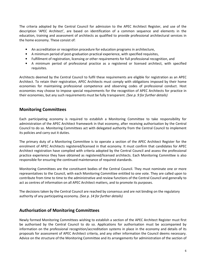The criteria adopted by the Central Council for admission to the APEC Architect Register, and use of the description 'APEC Architect', are based on identification of a common sequence and elements in the education, training and assessment of architects as qualified to provide professional architectural services in the home economy. These consist of:

- An accreditation or recognition procedure for education programs in architecture,
- A minimum period of post-graduation practical experience, with specified requisites,
- Fulfillment of registration, licensing or other requirements for full professional recognition, and
- A minimum period of professional practice as a registered or licensed architect, with specified requisites.

Architects deemed by the Central Council to fulfil these requirements are eligible for registration as an APEC Architect. To retain their registration, APEC Architects must comply with obligations imposed by their home economies for maintaining professional competence and observing codes of professional conduct. Host economies may choose to impose special requirements for the recognition of APEC Architects for practice in their economies, but any such requirements must be fully transparent. (See p. 9 for further details)

## Monitoring Committees

Each participating economy is required to establish a Monitoring Committee to take responsibility for administration of the APEC Architect framework in that economy, after receiving authorisation by the Central Council to do so. Monitoring Committees act with delegated authority from the Central Council to implement its policies and carry out it duties.

The primary duty of a Monitoring Committee is to operate a section of the APEC Architect Register for the enrolment of APEC Architects registered/licensed in that economy. It must confirm that candidates for APEC Architect registration have complied with criteria adopted by the Central Council and assess the professional practice experience they have obtained as registered/licensed architects. Each Monitoring Committee is also responsible for ensuring the continued maintenance of required standards.

Monitoring Committees are the constituent bodies of the Central Council. They must nominate one or more representatives to the Council, with each Monitoring Committee entitled to one vote. They are called upon to contribute from time to time to the administrative and review functions of the Central Council and generally to act as centres of information on all APEC Architect matters, and to promote its purposes.

The decisions taken by the Central Council are reached by consensus and are not binding on the regulatory authority of any participating economy. (See p. 14 for further details)

## Authorisation of Monitoring Committees

Newly formed Monitoring Committees wishing to establish a section of the APEC Architect Register must first be authorised by the Central Council to do so. Applications for authorisation must be accompanied by information on the professional recognition/accreditation systems in place in the economy and details of its proposals for assessment of APEC Architect criteria, and any other information the Council deems necessary. Advice on the structure of the Monitoring Committee and its arrangements for administration of the section of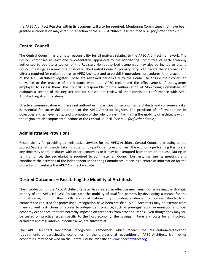the APEC Architect Register within its economy will also be required. Monitoring Committees that have been granted authorisation may establish a section of the APEC Architect Register. (See p. 16 for further details)

## Central Council

The Central Council has ultimate responsibility for all matters relating to the APEC Architect framework. The Council comprises at least one representative appointed by the Monitoring Committee of each economy authorised to operate a section of the Register. Non-authorised economies may also be invited to attend Council meetings as non-voting observers. The Central Council's primary duty is to decide the standards and criteria required for registration as an APEC Architect and to establish operational procedures for management of the APEC Architect Register. These are reviewed periodically by the Council to ensure their continued relevance to the practice of architecture within the APEC region and the effectiveness of the systems employed to assess them. The Council is responsible for the authorisation of Monitoring Committees to maintain a section of the Register and for subsequent review of their continued conformance with APEC Architect registration criteria.

Effective communication with relevant authorities in participating economies, architects and consumers alike, is essential for successful operation of the APEC Architect Register. The provision of information on its objectives and achievements, and promotion of the role it plays in facilitating the mobility of architects within the region are also important functions of the Central Council. (See p.20 for further details)

## Administrative Provisions

Responsibility for providing administrative services for the APEC Architect Central Council and acting as the project Secretariat is undertaken in rotation by participating economies. The economy performing this role at any time may share its duties with other economies or it may be exempted from them on request. During its term of office, the Secretariat is required to administer all Council business, manage its meetings and coordinate the activities of the independent Monitoring Committees. It acts as a centre of information for the project and maintains the APEC Architect website.

## Desired Outcomes – Facilitating the Mobility of Architects

The introduction of the APEC Architect Register has created an effective mechanism for achieving the strategic priority of the APEC HRDWG 'to facilitate the mobility of qualified persons by developing a means for the mutual recognition of their skills and qualifications'. By providing evidence that agreed standards of competence required for professional recognition have been satisfied, APEC Architects may be exempt from many current restrictions on access to independent practice, such as pre-registration examination and host economy experience, that are normally imposed on architects from other countries. Even though they may still be tested on practice issues specific to the host economy, the savings in time and costs for all involved, architects and regulatory authorities alike, are substantial.

The APEC Architect Reciprocal Recognition Framework, which records the registration/certification requirements of participating economies for the professional recognition of APEC Architects from other economies, may be viewed on the Central Council website at www.apecarchitect.org.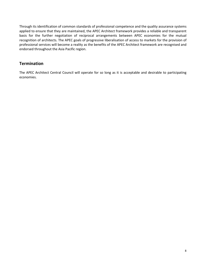Through its identification of common standards of professional competence and the quality assurance systems applied to ensure that they are maintained, the APEC Architect framework provides a reliable and transparent basis for the further negotiation of reciprocal arrangements between APEC economies for the mutual recognition of architects. The APEC goals of progressive liberalisation of access to markets for the provision of professional services will become a reality as the benefits of the APEC Architect framework are recognised and endorsed throughout the Asia Pacific region.

## **Termination**

The APEC Architect Central Council will operate for so long as it is acceptable and desirable to participating economies.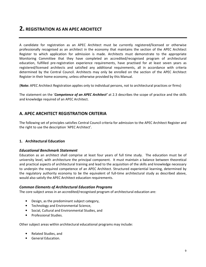## 2. REGISTRATION AS AN APEC ARCHITECT

A candidate for registration as an APEC Architect must be currently registered/licensed or otherwise professionally recognised as an architect in the economy that maintains the section of the APEC Architect Register to which application for admission is made. Architects must demonstrate to the appropriate Monitoring Committee that they have completed an accredited/recognised program of architectural education, fulfilled pre-registration experience requirements, have practised for at least seven years as registered/licensed architects and satisfied any additional requirements, all in accordance with criteria determined by the Central Council. Architects may only be enrolled on the section of the APEC Architect Register in their home economy, unless otherwise provided by this Manual.

(Note: APEC Architect Registration applies only to individual persons, not to architectural practices or firms)

The statement on the 'Competence of an APEC Architect' at 2.3 describes the scope of practice and the skills and knowledge required of an APEC Architect.

## A. APEC ARCHITECT REGISTRATION CRITERIA

The following set of principles satisfies Central Council criteria for admission to the APEC Architect Register and the right to use the description 'APEC Architect'.

#### 1. Architectural Education

#### Educational Benchmark Statement

Education as an architect shall comprise at least four years of full time study. The education must be of university level, with architecture the principal component. It must maintain a balance between theoretical and practical aspects of architectural training and lead to the acquisition of the skills and knowledge necessary to underpin the required competence of an APEC Architect. Structured experiential learning, determined by the regulatory authority economy to be the equivalent of full-time architectural study as described above, would also satisfy the APEC Architect education requirements.

#### Common Elements of Architectural Education Programs

The core subject areas in an accredited/recognised program of architectural education are:

- Design, as the predominant subject category,
- Technology and Environmental Science,
- Social, Cultural and Environmental Studies, and
- Professional Studies.

Other subject areas within architectural educational programs may include:

- Related Studies, and
- General Education.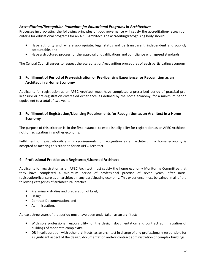#### Accreditation/Recognition Procedure for Educational Programs in Architecture

Processes incorporating the following principles of good governance will satisfy the accreditation/recognition criteria for educational programs for an APEC Architect. The accrediting/recognising body should:

- Have authority and, where appropriate, legal status and be transparent, independent and publicly accountable, and
- Have a structured process for the approval of qualifications and compliance with agreed standards.

The Central Council agrees to respect the accreditation/recognition procedures of each participating economy.

#### 2. Fulfillment of Period of Pre-registration or Pre-licensing Experience for Recognition as an Architect in a Home Economy

Applicants for registration as an APEC Architect must have completed a prescribed period of practical prelicensure or pre-registration diversified experience, as defined by the home economy, for a minimum period equivalent to a total of two years.

#### 3. Fulfillment of Registration/Licensing Requirements for Recognition as an Architect in a Home Economy

The purpose of this criterion is, in the first instance, to establish eligibility for registration as an APEC Architect, not for registration in another economy.

Fulfillment of registration/licensing requirements for recognition as an architect in a home economy is accepted as meeting this criterion for an APEC Architect.

#### 4. Professional Practice as a Registered/Licensed Architect

Applicants for registration as an APEC Architect must satisfy the home economy Monitoring Committee that they have completed a minimum period of professional practice of seven years; after initial registration/licensure as an architect in any participating economy. This experience must be gained in all of the following categories of architectural practice:

- Preliminary studies and preparation of brief,
- Design,
- Contract Documentation, and
- Administration.

At least three years of that period must have been undertaken as an architect:

- With sole professional responsibility for the design, documentation and contract administration of buildings of moderate complexity,
- OR in collaboration with other architects, as an architect in charge of and professionally responsible for a significant aspect of the design, documentation and/or contract administration of complex buildings.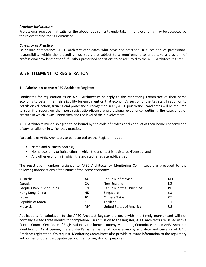#### Practice Jurisdiction

Professional practice that satisfies the above requirements undertaken in any economy may be accepted by the relevant Monitoring Committee.

#### Currency of Practice

To ensure competence, APEC Architect candidates who have not practised in a position of professional responsibility within the preceding two years are subject to a requirement to undertake a program of professional development or fulfill other prescribed conditions to be admitted to the APEC Architect Register.

## B. ENTITLEMENT TO REGISTRATION

#### 1. Admission to the APEC Architect Register

Candidates for registration as an APEC Architect must apply to the Monitoring Committee of their home economy to determine their eligibility for enrolment on that economy's section of the Register. In addition to details on education, training and professional recognition in any APEC jurisdiction, candidates will be required to submit a report on their post registration/licensure professional experience, outlining the categories of practice in which it was undertaken and the level of their involvement.

APEC Architects must also agree to be bound by the code of professional conduct of their home economy and of any jurisdiction in which they practice.

Particulars of APEC Architects to be recorded on the Register include:

- Name and business address:
- Home economy or jurisdiction in which the architect is registered/licensed; and
- Any other economy in which the architect is registered/licensed.

The registration numbers assigned to APEC Architects by Monitoring Committees are preceded by the following abbreviations of the name of the home economy:

| Australia                  | AU | <b>Republic of Mexico</b>   | MX |
|----------------------------|----|-----------------------------|----|
| Canada                     | CА | New Zealand                 | NZ |
| People's Republic of China | CΝ | Republic of the Philippines | PН |
| Hong Kong, China           | HК | Singapore                   | SG |
| Japan                      | JP | Chinese Taipei              | CT |
| Republic of Korea          | КR | Thailand                    | тн |
| Malaysia                   | MY | United States of America    | US |

Applications for admission to the APEC Architect Register are dealt with in a timely manner and will not normally exceed three months for completion. On admission to the Register, APEC Architects are issued with a Central Council Certificate of Registration by the home economy Monitoring Committee and an APEC Architect Identification Card bearing the architect's name, name of home economy and date and currency of APEC Architect registration. On request, Monitoring Committees also provide relevant information to the regulatory authorities of other participating economies for registration purposes.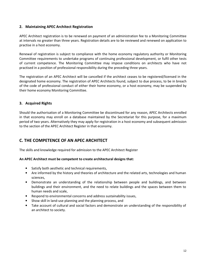#### 2. Maintaining APEC Architect Registration

APEC Architect registration is to be renewed on payment of an administration fee to a Monitoring Committee at intervals no greater than three years. Registration details are to be reviewed and renewed on application to practise in a host economy.

Renewal of registration is subject to compliance with the home economy regulatory authority or Monitoring Committee requirements to undertake programs of continuing professional development, or fulfil other tests of current competence. The Monitoring Committee may impose conditions on architects who have not practised in a position of professional responsibility during the preceding three years.

The registration of an APEC Architect will be cancelled if the architect ceases to be registered/licensed in the designated home economy. The registration of APEC Architects found, subject to due process, to be in breach of the code of professional conduct of either their home economy, or a host economy, may be suspended by their home economy Monitoring Committee.

#### 3. Acquired Rights

Should the authorisation of a Monitoring Committee be discontinued for any reason, APEC Architects enrolled in that economy may enroll on a database maintained by the Secretariat for this purpose, for a maximum period of two years. Alternatively they may apply for registration in a host economy and subsequent admission to the section of the APEC Architect Register in that economy.

## C. THE COMPETENCE OF AN APEC ARCHITECT

The skills and knowledge required for admission to the APEC Architect Register

#### An APEC Architect must be competent to create architectural designs that:

- Satisfy both aesthetic and technical requirements,
- Are informed by the history and theories of architecture and the related arts, technologies and human sciences,
- Demonstrate an understanding of the relationship between people and buildings, and between buildings and their environment, and the need to relate buildings and the spaces between them to human needs and scale,
- Respond to environmental concerns and address sustainability issues,
- Show skill in land-use planning and the planning process, and
- Take account of cultural and social factors and demonstrate an understanding of the responsibility of an architect to society.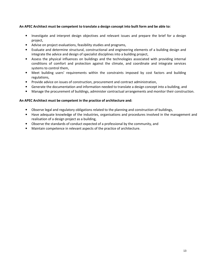#### An APEC Architect must be competent to translate a design concept into built form and be able to:

- Investigate and interpret design objectives and relevant issues and prepare the brief for a design project,
- Advise on project evaluations, feasibility studies and programs,
- Evaluate and determine structural, constructional and engineering elements of a building design and integrate the advice and design of specialist disciplines into a building project,
- Assess the physical influences on buildings and the technologies associated with providing internal conditions of comfort and protection against the climate, and coordinate and integrate services systems to control them,
- Meet building users' requirements within the constraints imposed by cost factors and building regulations,
- Provide advice on issues of construction, procurement and contract administration,
- Generate the documentation and information needed to translate a design concept into a building, and
- Manage the procurement of buildings, administer contractual arrangements and monitor their construction.

#### An APEC Architect must be competent in the practice of architecture and:

- Observe legal and regulatory obligations related to the planning and construction of buildings,
- Have adequate knowledge of the industries, organisations and procedures involved in the management and realisation of a design project as a building,
- Observe the standards of conduct expected of a professional by the community, and
- Maintain competence in relevant aspects of the practice of architecture.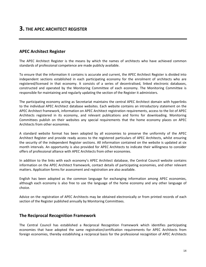## APEC Architect Register

The APEC Architect Register is the means by which the names of architects who have achieved common standards of professional competence are made publicly available.

To ensure that the information it contains is accurate and current, the APEC Architect Register is divided into independent sections established in each participating economy for the enrolment of architects who are registered/licensed in that economy. It consists of a series of decentralised, linked electronic databases, constructed and operated by the Monitoring Committee of each economy. The Monitoring Committee is responsible for maintaining and regularly updating the section of the Register it administers.

The participating economy acting as Secretariat maintains the central APEC Architect domain with hyperlinks to the individual APEC Architect database websites. Each website contains an introductory statement on the APEC Architect framework, information on APEC Architect registration requirements, access to the list of APEC Architects registered in its economy, and relevant publications and forms for downloading. Monitoring Committees publish on their websites any special requirements that the home economy places on APEC Architects from other economies.

A standard website format has been adopted by all economies to preserve the uniformity of the APEC Architect Register and provide ready access to the registered particulars of APEC Architects, whilst ensuring the security of the independent Register sections. All information contained on the website is updated at six month intervals. An opportunity is also provided for APEC Architects to indicate their willingness to consider offers of professional alliance with APEC Architects from other economies.

In addition to the links with each economy's APEC Architect database, the Central Council website contains information on the APEC Architect framework, contact details of participating economies, and other relevant matters. Application forms for assessment and registration are also available.

English has been adopted as the common language for exchanging information among APEC economies, although each economy is also free to use the language of the home economy and any other language of choice.

Advice on the registration of APEC Architects may be obtained electronically or from printed records of each section of the Register published annually by Monitoring Committees.

## The Reciprocal Recognition Framework

The Central Council has established a Reciprocal Recognition Framework which identifies participating economies that have adopted the same registration/certification requirements for APEC Architects from foreign economies, thereby establishing a reciprocal basis for the professional recognition of APEC Architects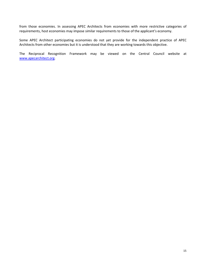from those economies. In assessing APEC Architects from economies with more restrictive categories of requirements, host economies may impose similar requirements to those of the applicant's economy.

Some APEC Architect participating economies do not yet provide for the independent practice of APEC Architects from other economies but it is understood that they are working towards this objective.

The Reciprocal Recognition Framework may be viewed on the Central Council website at www.apecarchitect.org.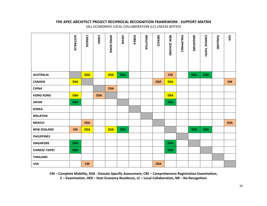#### THE APEC ARCHITECT PROJECT RECIPROCAL RECOGNITION FRAMEWORK - SUPPORT MATRIX (ALL ECONOMIES LOCAL COLLABORATION (LC) UNLESS NOTED)

|                       | <b>AUSTRALIA</b> | <b>CANADA</b> | <b>CHINA</b> | <b>HONG KONG</b> | JAPAN      | KOREA | MALAYSIA | MEXICO     | <b>NEW ZEALAND</b> | PHILIPPINES | SINGAPORE  | CHINESE TAIPEI | <b>THAILAND</b> | VSN        |
|-----------------------|------------------|---------------|--------------|------------------|------------|-------|----------|------------|--------------------|-------------|------------|----------------|-----------------|------------|
| <b>AUSTRALIA</b>      |                  | <b>DSA</b>    |              | <b>DSA</b>       | <b>DSA</b> |       |          |            | <b>CM</b>          |             | <b>DSA</b> | <b>DSA</b>     |                 |            |
| <b>CANADA</b>         | <b>DSA</b>       |               |              |                  |            |       |          | <b>DSA</b> | <b>DSA</b>         |             |            |                |                 | <b>CM</b>  |
| <b>CHINA</b>          |                  |               |              | <b>DSA</b>       |            |       |          |            |                    |             |            |                |                 |            |
| <b>HONG KONG</b>      | <b>DSA</b>       |               | <b>DSA</b>   |                  |            |       |          |            | <b>DSA</b>         |             |            |                |                 |            |
| <b>JAPAN</b>          | <b>DSA</b>       |               |              |                  |            |       |          |            | <b>DSA</b>         |             |            |                |                 |            |
| <b>KOREA</b>          |                  |               |              |                  |            |       |          |            |                    |             |            |                |                 |            |
| <b>MALAYSIA</b>       |                  |               |              |                  |            |       |          |            |                    |             |            |                |                 |            |
| <b>MEXICO</b>         |                  | <b>DSA</b>    |              |                  |            |       |          |            |                    |             |            |                |                 | <b>DSA</b> |
| <b>NEW ZEALAND</b>    | <b>CM</b>        | <b>DSA</b>    |              | <b>DSA</b>       | <b>DSA</b> |       |          |            |                    |             | <b>DSA</b> | <b>DSA</b>     |                 |            |
| <b>PHILIPPINES</b>    |                  |               |              |                  |            |       |          |            |                    |             |            |                |                 |            |
| <b>SINGAPORE</b>      | <b>DSA</b>       |               |              |                  |            |       |          |            | <b>DSA</b>         |             |            |                |                 |            |
| <b>CHINESE TAIPEI</b> | <b>DSA</b>       |               |              |                  |            |       |          |            | <b>DSA</b>         |             |            |                |                 |            |
| <b>THAILAND</b>       |                  |               |              |                  |            |       |          |            |                    |             |            |                |                 |            |
| <b>USA</b>            |                  | <b>CM</b>     |              |                  |            |       |          | <b>DSA</b> |                    |             |            |                |                 |            |

CM – Complete Mobility, DSA - Domain Specific Assessment, CRE – Comprehensive Registration Examination, E – Examination, HER – Host Economy Residence, LC – Local Collaboration, NR – No Recognition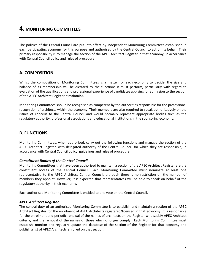## 4. MONITORING COMMITTEES

The policies of the Central Council are put into effect by independent Monitoring Committees established in each participating economy for this purpose and authorised by the Central Council to act on its behalf. Their primary responsibility is to manage the section of the APEC Architect Register in that economy, in accordance with Central Council policy and rules of procedure.

## A. COMPOSITION

Whilst the composition of Monitoring Committees is a matter for each economy to decide, the size and balance of its membership will be dictated by the functions it must perform, particularly with regard to evaluation of the qualifications and professional experience of candidates applying for admission to the section of the APEC Architect Register it maintains.

Monitoring Committees should be recognised as competent by the authorities responsible for the professional recognition of architects within the economy. Their members are also required to speak authoritatively on the issues of concern to the Central Council and would normally represent appropriate bodies such as the regulatory authority, professional associations and educational institutions in the sponsoring economy.

## B. FUNCTIONS

Monitoring Committees, when authorised, carry out the following functions and manage the section of the APEC Architect Register, with delegated authority of the Central Council, for which they are responsible, in accordance with Central Council policy, guidelines and rules of procedure.

#### Constituent Bodies of the Central Council

Monitoring Committees that have been authorised to maintain a section of the APEC Architect Register are the constituent bodies of the Central Council. Each Monitoring Committee must nominate at least one representative to the APEC Architect Central Council, although there is no restriction on the number of members they appoint. However, it is expected that representatives will be able to speak on behalf of the regulatory authority in their economy.

Each authorised Monitoring Committee is entitled to one vote on the Central Council.

#### APEC Architect Register

The central duty of an authorised Monitoring Committee is to establish and maintain a section of the APEC Architect Register for the enrolment of APEC Architects registered/licensed in that economy. It is responsible for the enrolment and periodic renewal of the names of architects on the Register who satisfy APEC Architect criteria, and the removal of the names of those who no longer comply. Each Monitoring Committee must establish, monitor and regularly update the database of the section of the Register for that economy and publish a list of APEC Architects enrolled on that section.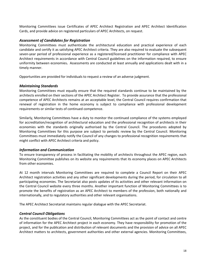Monitoring Committees issue Certificates of APEC Architect Registration and APEC Architect Identification Cards, and provide advice on registered particulars of APEC Architects, on request.

#### Assessment of Candidates for Registration

Monitoring Committees must authenticate the architectural education and practical experience of each candidate and certify it as satisfying APEC Architect criteria. They are also required to evaluate the subsequent seven-year period of professional experience as a registered/licensed practitioner for compliance with APEC Architect requirements in accordance with Central Council guidelines on the information required, to ensure uniformity between economies. Assessments are conducted at least annually and applications dealt with in a timely manner.

Opportunities are provided for individuals to request a review of an adverse judgment.

#### Maintaining Standards

Monitoring Committees must equally ensure that the required standards continue to be maintained by the architects enrolled on their sections of the APEC Architect Register. To provide assurance that the professional competence of APEC Architects remains at an acceptable level, the Central Council requires confirmation that renewal of registration in the home economy is subject to compliance with professional development requirements or similar tests of continued competence.

Similarly, Monitoring Committees have a duty to monitor the continued compliance of the systems employed for accreditation/recognition of architectural education and the professional recognition of architects in their economies with the standards originally authorised by the Central Council. The procedures adopted by Monitoring Committees for this purpose are subject to periodic review by the Central Council. Monitoring Committees must immediately notify the Council of any changes to professional recognition requirements that might conflict with APEC Architect criteria and policy.

#### Information and Communication

To ensure transparency of process in facilitating the mobility of architects throughout the APEC region, each Monitoring Committee publishes on its website any requirements that its economy places on APEC Architects from other economies.

At 12 month intervals Monitoring Committees are required to complete a Council Report on their APEC Architect registration activities and any other significant developments during the period, for circulation to all participating economies. The Secretariat also posts updates of its activities and other relevant information on the Central Council website every three months. Another important function of Monitoring Committees is to promote the benefits of registration as an APEC Architect to members of the profession, both nationally and internationally, and to regulatory authorities and other relevant organisations.

The APEC Architect Secretariat maintains regular dialogue with the APEC Secretariat.

#### Central Council Obligations

As the constituent bodies of the Central Council, Monitoring Committees act as the point of contact and centre of information for the APEC Architect project in each economy. They have responsibility for promotion of the project, and for the publication and distribution of relevant documents and the provision of advice on all APEC Architect matters to architects, government authorities and other external agencies. Monitoring Committees,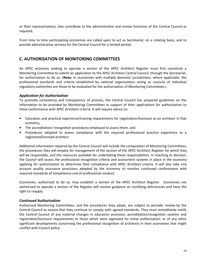or their representatives, also contribute to the administrative and review functions of the Central Council as required.

From time to time participating economies are called upon to act as Secretariat, on a rotating basis, and to provide administrative services for the Central Council for a limited period.

## C. AUTHORISATION OF MONITORING COMMITTEES

An APEC economy seeking to operate a section of the APEC Architect Register must first constitute a Monitoring Committee to submit an application to the APEC Architect Central Council, through the Secretariat, for authorisation to do so. (Note: In economies with multiple domestic jurisdictions, where applicable, the professional standards and criteria established by national organisations acting as councils of individual regulatory authorities are those to be evaluated for the authorisation of Monitoring Committees.)

#### Application for Authorisation

To promote consistency and transparency of process, the Central Council has prepared guidelines on the information to be provided by Monitoring Committees in support of their applications for authorisation to show conformance with APEC Architect criteria. It will require advice on:

- Education and practical experience/training requirements for registration/licensure as an architect in that economy,
- The accreditation/ recognition procedures employed to assess them, and
- Procedures adopted to assess compliance with the required professional practice experience as a registered/licensed architect.

Additional information required by the Central Council will include the composition of Monitoring Committees, the procedures they will employ for management of the section of the APEC Architect Register for which they will be responsible, and the resources available for undertaking these responsibilities. In reaching its decision, the Council will assess the professional recognition criteria and assessment systems in place in the economy applying for authorisation to determine their compliance with APEC Architect criteria. It will also take into account quality assurance provisions adopted by the economy to monitor continued conformance with required standards of competence and of professional conduct.

Economies, authorised to do so, may establish a section of the APEC Architect Register. Economies not authorised to operate a section of the Register will receive guidance on rectifying deficiencies and have the right to reapply.

#### Continued Authorisation

Authorised Monitoring Committees, and the procedures they adopt, are subject to periodic review by the Central Council to ensure that they continue to comply with agreed standards. They must immediately notify the Central Council of any material changes in education provision, accreditation/recognition systems and registration/licensure requirements to those which were approved for initial authorisation, or of any other significant developments concerning the professional recognition of architects in their economies that might conflict with Council policy.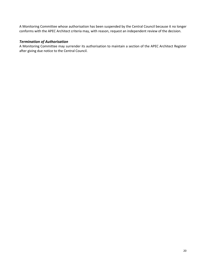A Monitoring Committee whose authorisation has been suspended by the Central Council because it no longer conforms with the APEC Architect criteria may, with reason, request an independent review of the decision.

#### Termination of Authorisation

A Monitoring Committee may surrender its authorisation to maintain a section of the APEC Architect Register after giving due notice to the Central Council.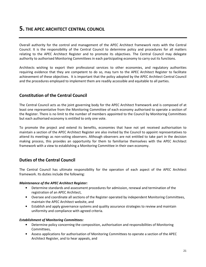## 5. THE APEC ARCHITECT CENTRAL COUNCIL

Overall authority for the control and management of the APEC Architect framework rests with the Central Council. It is the responsibility of the Central Council to determine policy and procedures for all matters relating to the APEC Architect Register and to promote its objectives. The Central Council may delegate authority to authorised Monitoring Committees in each participating economy to carry out its functions.

Architects wishing to export their professional services to other economies, and regulatory authorities requiring evidence that they are competent to do so, may turn to the APEC Architect Register to facilitate achievement of these objectives. It is important that the policy adopted by the APEC Architect Central Council and the procedures employed to implement them are readily accessible and equitable to all parties.

## Constitution of the Central Council

The Central Council acts as the joint governing body for the APEC Architect framework and is composed of at least one representative from the Monitoring Committee of each economy authorised to operate a section of the Register. There is no limit to the number of members appointed to the Council by Monitoring Committees but each authorised economy is entitled to only one vote.

To promote the project and extend its benefits, economies that have not yet received authorisation to maintain a section of the APEC Architect Register are also invited by the Council to appoint representatives to attend its meetings as non-voting observers. Although observers are not entitled to take part in the decision making process, this provides an opportunity for them to familiarise themselves with the APEC Architect framework with a view to establishing a Monitoring Committee in their own economy.

## Duties of the Central Council

The Central Council has ultimate responsibility for the operation of each aspect of the APEC Architect framework. Its duties include the following:

#### Maintenance of the APEC Architect Register:

- Determine standards and assessment procedures for admission, renewal and termination of the registration of an APEC Architect,
- Oversee and coordinate all sections of the Register operated by independent Monitoring Committees, maintain the APEC Architect website, and
- Establish and apply governance systems and quality assurance strategies to review and maintain uniformity and compliance with agreed criteria.

#### Establishment of Monitoring Committees:

- Determine policy concerning the composition, authorisation and responsibilities of Monitoring Committees,
- Assess applications for authorisation of Monitoring Committees to operate a section of the APEC Architect Register, and to hear appeals, and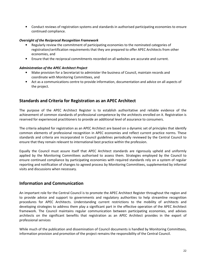• Conduct reviews of registration systems and standards in authorised participating economies to ensure continued compliance.

#### Oversight of the Reciprocal Recognition Framework

- Regularly review the commitment of participating economies to the nominated categories of registration/certification requirements that they are prepared to offer APEC Architects from other economies, and
- Ensure that the reciprocal commitments recorded on all websites are accurate and current.

#### Administration of the APEC Architect Project

- Make provision for a Secretariat to administer the business of Council, maintain records and coordinate with Monitoring Committees, and
- Act as a communications centre to provide information, documentation and advice on all aspects of the project.

## Standards and Criteria for Registration as an APEC Architect

The purpose of the APEC Architect Register is to establish authoritative and reliable evidence of the achievement of common standards of professional competence by the architects enrolled on it. Registration is reserved for experienced practitioners to provide an additional level of assurance to consumers.

The criteria adopted for registration as an APEC Architect are based on a dynamic set of principles that identify common elements of professional recognition in APEC economies and reflect current practice norms. These standards and criteria are incorporated in Council guidelines periodically reviewed by the Central Council to ensure that they remain relevant to international best practice within the profession.

Equally the Council must assure itself that APEC Architect standards are rigorously upheld and uniformly applied by the Monitoring Committees authorised to assess them. Strategies employed by the Council to ensure continued compliance by participating economies with required standards rely on a system of regular reporting and notification of changes to agreed process by Monitoring Committees, supplemented by informal visits and discussions when necessary.

## Information and Communication

An important role for the Central Council is to promote the APEC Architect Register throughout the region and to provide advice and support to governments and regulatory authorities to help streamline recognition procedures for APEC Architects. Understanding current restrictions to the mobility of architects and developing strategies to address them play a significant part in the effective operation of the APEC Architect framework. The Council maintains regular communication between participating economies, and advises architects on the significant benefits that registration as an APEC Architect provides in the export of professional services

While much of the publication and dissemination of Council documents is handled by Monitoring Committees, information provision and promotion of the project remains the responsibility of the Central Council.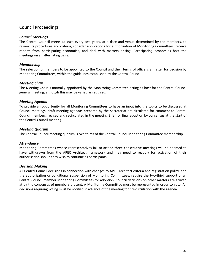## Council Proceedings

#### Council Meetings

The Central Council meets at least every two years, at a date and venue determined by the members, to review its procedures and criteria, consider applications for authorisation of Monitoring Committees, receive reports from participating economies, and deal with matters arising. Participating economies host the meetings on an alternating basis.

#### Membership

The selection of members to be appointed to the Council and their terms of office is a matter for decision by Monitoring Committees, within the guidelines established by the Central Council.

#### Meeting Chair

The Meeting Chair is normally appointed by the Monitoring Committee acting as host for the Central Council general meeting, although this may be varied as required.

#### Meeting Agenda

To provide an opportunity for all Monitoring Committees to have an input into the topics to be discussed at Council meetings, draft meeting agendas prepared by the Secretariat are circulated for comment to Central Council members, revised and recirculated in the meeting Brief for final adoption by consensus at the start of the Central Council meeting.

#### Meeting Quorum

The Central Council meeting quorum is two thirds of the Central Council Monitoring Committee membership.

#### **Attendance**

Monitoring Committees whose representatives fail to attend three consecutive meetings will be deemed to have withdrawn from the APEC Architect framework and may need to reapply for activation of their authorisation should they wish to continue as participants.

#### Decision Making

All Central Council decisions in connection with changes to APEC Architect criteria and registration policy, and the authorisation or conditional suspension of Monitoring Committees, require the two-third support of all Central Council member Monitoring Committees for adoption. Council decisions on other matters are arrived at by the consensus of members present. A Monitoring Committee must be represented in order to vote. All decisions requiring voting must be notified in advance of the meeting for pre-circulation with the agenda.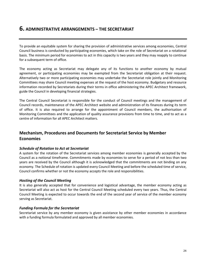## 6. ADMINISTRATIVE ARRANGEMENTS – THE SECRETARIAT

To provide an equitable system for sharing the provision of administrative services among economies, Central Council business is conducted by participating economies, which take on the role of Secretariat on a rotational basis. The minimum period for economies to act in this capacity is two years and they may reapply to continue for a subsequent term of office.

The economy acting as Secretariat may delegate any of its functions to another economy by mutual agreement, or participating economies may be exempted from the Secretariat obligation at their request. Alternatively two or more participating economies may undertake the Secretariat role jointly and Monitoring Committees may share Council meeting expenses at the request of the host economy. Budgetary and resource information recorded by Secretariats during their terms in office administering the APEC Architect framework, guide the Council in developing financial strategies.

The Central Council Secretariat is responsible for the conduct of Council meetings and the management of Council records, maintenance of the APEC Architect website and administration of its finances during its term of office. It is also required to arrange for the appointment of Council members, the authorisation of Monitoring Committees and the application of quality assurance provisions from time to time, and to act as a centre of information for all APEC Architect matters.

## Mechanism, Procedures and Documents for Secretariat Service by Member **Economies**

#### Schedule of Rotation to Act at Secretariat

A system for the rotation of the Secretariat services among member economies is generally accepted by the Council as a notional timeframe. Commitments made by economies to serve for a period of not less than two years are received by the Council although it is acknowledged that the commitments are not binding on any economy. The Schedule of rotation is updated every Council Meeting and before the scheduled time of service, Council confirms whether or not the economy accepts the role and responsibilities.

#### Hosting of the Council Meeting

It is also generally accepted that for convenience and logistical advantage, the member economy acting as Secretariat will also act as host for the Central Council Meeting scheduled every two years. Thus, the Central Council Meeting is expected to occur towards the end of the second year of service of the member economy serving as Secretariat.

#### Funding Formula for the Secretariat

Secretariat service by any member economy is given assistance by other member economies in accordance with a funding formula formulated and approved by all member economies.